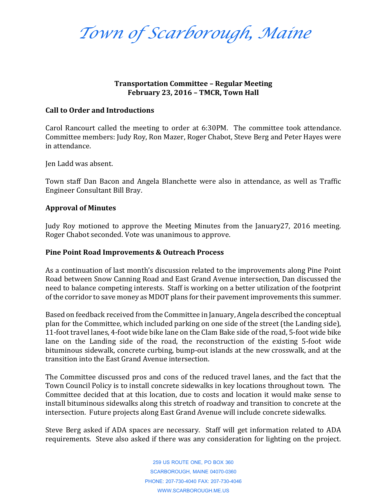*Town of Scarborough, Maine*

## **Transportation Committee – Regular Meeting February 23, 2016 – TMCR, Town Hall**

## **Call to Order and Introductions**

Carol Rancourt called the meeting to order at 6:30PM. The committee took attendance. Committee members: Judy Roy, Ron Mazer, Roger Chabot, Steve Berg and Peter Hayes were in attendance.

Jen Ladd was absent.

Town staff Dan Bacon and Angela Blanchette were also in attendance, as well as Traffic Engineer Consultant Bill Bray.

## **Approval of Minutes**

Judy Roy motioned to approve the Meeting Minutes from the January27, 2016 meeting. Roger Chabot seconded. Vote was unanimous to approve.

### **Pine Point Road Improvements & Outreach Process**

As a continuation of last month's discussion related to the improvements along Pine Point Road between Snow Canning Road and East Grand Avenue intersection, Dan discussed the need to balance competing interests. Staff is working on a better utilization of the footprint of the corridor to save money as MDOT plans for their pavement improvements this summer.

Based on feedback received from the Committee in January, Angela described the conceptual plan for the Committee, which included parking on one side of the street (the Landing side), 11-foot travel lanes, 4-foot wide bike lane on the Clam Bake side of the road, 5-foot wide bike lane on the Landing side of the road, the reconstruction of the existing 5-foot wide bituminous sidewalk, concrete curbing, bump-out islands at the new crosswalk, and at the transition into the East Grand Avenue intersection.

The Committee discussed pros and cons of the reduced travel lanes, and the fact that the Town Council Policy is to install concrete sidewalks in key locations throughout town. The Committee decided that at this location, due to costs and location it would make sense to install bituminous sidewalks along this stretch of roadway and transition to concrete at the intersection. Future projects along East Grand Avenue will include concrete sidewalks.

Steve Berg asked if ADA spaces are necessary. Staff will get information related to ADA requirements. Steve also asked if there was any consideration for lighting on the project.

> 259 US ROUTE ONE, PO BOX 360 SCARBOROUGH, MAINE 04070-0360 PHONE: 207-730-4040 FAX: 207-730-4046 WWW.SCARBOROUGH.ME.US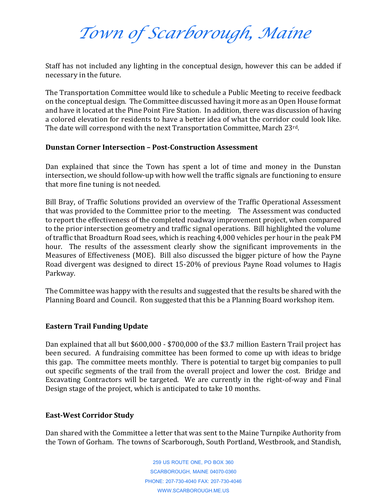# *Town of Scarborough, Maine*

Staff has not included any lighting in the conceptual design, however this can be added if necessary in the future.

The Transportation Committee would like to schedule a Public Meeting to receive feedback on the conceptual design. The Committee discussed having it more as an Open House format and have it located at the Pine Point Fire Station. In addition, there was discussion of having a colored elevation for residents to have a better idea of what the corridor could look like. The date will correspond with the next Transportation Committee, March 23rd.

# **Dunstan Corner Intersection – Post-Construction Assessment**

Dan explained that since the Town has spent a lot of time and money in the Dunstan intersection, we should follow-up with how well the traffic signals are functioning to ensure that more fine tuning is not needed.

Bill Bray, of Traffic Solutions provided an overview of the Traffic Operational Assessment that was provided to the Committee prior to the meeting. The Assessment was conducted to report the effectiveness of the completed roadway improvement project, when compared to the prior intersection geometry and traffic signal operations. Bill highlighted the volume of traffic that Broadturn Road sees, which is reaching 4,000 vehicles per hour in the peak PM hour. The results of the assessment clearly show the significant improvements in the Measures of Effectiveness (MOE). Bill also discussed the bigger picture of how the Payne Road divergent was designed to direct 15-20% of previous Payne Road volumes to Hagis Parkway.

The Committee was happy with the results and suggested that the results be shared with the Planning Board and Council. Ron suggested that this be a Planning Board workshop item.

# **Eastern Trail Funding Update**

Dan explained that all but \$600,000 - \$700,000 of the \$3.7 million Eastern Trail project has been secured. A fundraising committee has been formed to come up with ideas to bridge this gap. The committee meets monthly. There is potential to target big companies to pull out specific segments of the trail from the overall project and lower the cost. Bridge and Excavating Contractors will be targeted. We are currently in the right-of-way and Final Design stage of the project, which is anticipated to take 10 months.

### **East-West Corridor Study**

Dan shared with the Committee a letter that was sent to the Maine Turnpike Authority from the Town of Gorham. The towns of Scarborough, South Portland, Westbrook, and Standish,

> 259 US ROUTE ONE, PO BOX 360 SCARBOROUGH, MAINE 04070-0360 PHONE: 207-730-4040 FAX: 207-730-4046 WWW.SCARBOROUGH.ME.US